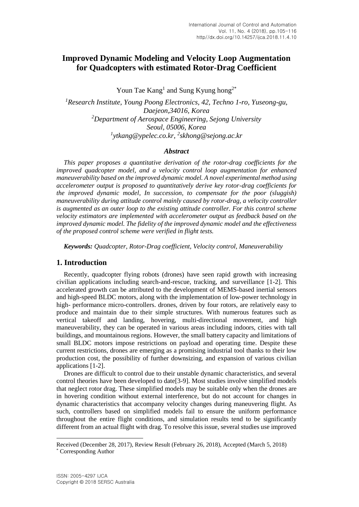# **Improved Dynamic Modeling and Velocity Loop Augmentation for Quadcopters with estimated Rotor-Drag Coefficient**

Youn Tae  $\text{Kang}^1$  and Sung Kyung hong<sup>2\*</sup>

*<sup>1</sup>Research Institute, Young Poong Electronics, 42, Techno 1-ro, Yuseong-gu, Daejeon,34016, Korea <sup>2</sup>Department of Aerospace Engineering, Sejong University Seoul, 05006, Korea 1 ytkang@ypelec.co.kr, 2 skhong@sejong.ac.kr*

### *Abstract*

*This paper proposes a quantitative derivation of the rotor-drag coefficients for the improved quadcopter model, and a velocity control loop augmentation for enhanced maneuverability based on the improved dynamic model. A novel experimental method using accelerometer output is proposed to quantitatively derive key rotor-drag coefficients for the improved dynamic model, In succession, to compensate for the poor (sluggish) maneuverability during attitude control mainly caused by rotor-drag, a velocity controller is augmented as an outer loop to the existing attitude controller. For this control scheme velocity estimators are implemented with accelerometer output as feedback based on the improved dynamic model. The fidelity of the improved dynamic model and the effectiveness of the proposed control scheme were verified in flight tests.*

*Keywords: Quadcopter, Rotor-Drag coefficient, Velocity control, Maneuverability*

# **1. Introduction**

Recently, quadcopter flying robots (drones) have seen rapid growth with increasing civilian applications including search-and-rescue, tracking, and surveillance [1-2]. This accelerated growth can be attributed to the development of MEMS-based inertial sensors and high-speed BLDC motors, along with the implementation of low-power technology in high- performance micro-controllers. drones, driven by four rotors, are relatively easy to produce and maintain due to their simple structures. With numerous features such as vertical takeoff and landing, hovering, multi-directional movement, and high maneuverability, they can be operated in various areas including indoors, cities with tall buildings, and mountainous regions. However, the small battery capacity and limitations of small BLDC motors impose restrictions on payload and operating time. Despite these current restrictions, drones are emerging as a promising industrial tool thanks to their low production cost, the possibility of further downsizing, and expansion of various civilian applications [1-2].

Drones are difficult to control due to their unstable dynamic characteristics, and several control theories have been developed to date[3-9]. Most studies involve simplified models that neglect rotor drag. These simplified models may be suitable only when the drones are in hovering condition without external interference, but do not account for changes in dynamic characteristics that accompany velocity changes during maneuvering flight. As such, controllers based on simplified models fail to ensure the uniform performance throughout the entire flight conditions, and simulation results tend to be significantly different from an actual flight with drag. To resolve this issue, several studies use improved

l

Received (December 28, 2017), Review Result (February 26, 2018), Accepted (March 5, 2018) \* Corresponding Author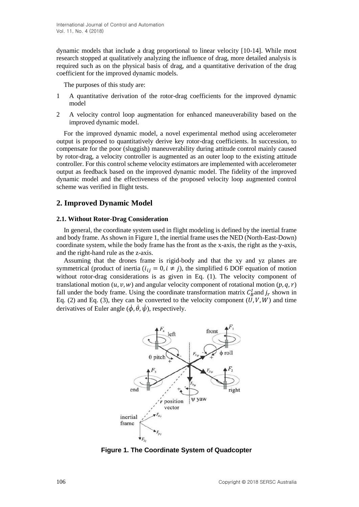dynamic models that include a drag proportional to linear velocity [10-14]. While most research stopped at qualitatively analyzing the influence of drag, more detailed analysis is required such as on the physical basis of drag, and a quantitative derivation of the drag coefficient for the improved dynamic models.

The purposes of this study are:

- 1 A quantitative derivation of the rotor-drag coefficients for the improved dynamic model
- 2 A velocity control loop augmentation for enhanced maneuverability based on the improved dynamic model.

For the improved dynamic model, a novel experimental method using accelerometer output is proposed to quantitatively derive key rotor-drag coefficients. In succession, to compensate for the poor (sluggish) maneuverability during attitude control mainly caused by rotor-drag, a velocity controller is augmented as an outer loop to the existing attitude controller. For this control scheme velocity estimators are implemented with accelerometer output as feedback based on the improved dynamic model. The fidelity of the improved dynamic model and the effectiveness of the proposed velocity loop augmented control scheme was verified in flight tests.

# **2. Improved Dynamic Model**

### **2.1. Without Rotor-Drag Consideration**

In general, the coordinate system used in flight modeling is defined by the inertial frame and body frame. As shown in Figure 1, the inertial frame uses the NED (North-East-Down) coordinate system, while the body frame has the front as the x-axis, the right as the y-axis, and the right-hand rule as the z-axis.

Assuming that the drones frame is rigid-body and that the xy and yz planes are symmetrical (product of inertia  $(i_{ij} = 0, i \neq j)$ , the simplified 6 DOF equation of motion without rotor-drag considerations is as given in Eq. (1). The velocity component of translational motion  $(u, v, w)$  and angular velocity component of rotational motion  $(p, q, r)$ fall under the body frame. Using the coordinate transformation matrix  $C_B^I$  and  $j_r$  shown in Eq. (2) and Eq. (3), they can be converted to the velocity component  $(U, V, W)$  and time derivatives of Euler angle  $(\dot{\phi}, \dot{\theta}, \dot{\psi})$ , respectively.



**Figure 1. The Coordinate System of Quadcopter**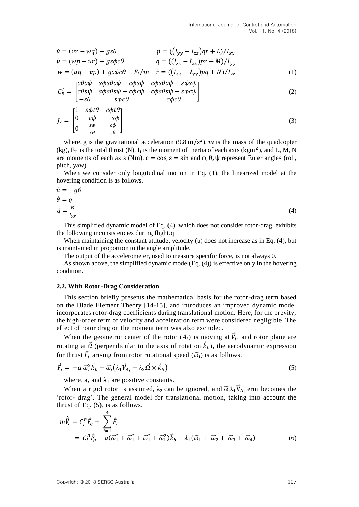$$
\dot{u} = (vr - wq) - gs\theta \qquad \dot{p} = ((I_{yy} - I_{zz})qr + L)/I_{xx} \n\dot{v} = (wp - ur) + gs\phi c\theta \qquad \dot{q} = ((I_{zz} - I_{xx})pr + M)/I_{yy} \n\dot{w} = (uq - vp) + gc\phi c\theta - F_t/m \qquad \dot{r} = ((I_{xx} - I_{yy})pq + N)/I_{zz}
$$
\n(1)

$$
C_B^I = \begin{bmatrix} c\theta c\psi & s\phi s\theta c\psi - c\phi s\psi & c\phi s\theta c\psi + s\phi s\psi \\ c\theta s\psi & s\phi s\theta s\psi + c\phi c\psi & c\phi s\theta s\psi - s\phi c\psi \\ -s\theta & s\phi c\theta & c\phi c\theta \end{bmatrix}
$$
(2)

$$
J_r = \begin{bmatrix} 1 & s\phi t\theta & c\phi t\theta \\ 0 & c\phi & -s\phi \\ 0 & \frac{s\phi}{c\theta} & \frac{c\phi}{c\theta} \end{bmatrix}
$$
 (3)

where, g is the gravitational acceleration (9.8 m/s<sup>2</sup>), m is the mass of the quadcopter (kg),  $F_T$  is the total thrust (N),  $I_i$  is the moment of inertia of each axis (kgm<sup>2</sup>), and L, M, N are moments of each axis (Nm).  $c = cos$ ,  $s = sin$  and  $φ$ ,  $θ$ ,  $ψ$  represent Euler angles (roll, pitch, yaw).

When we consider only longitudinal motion in Eq. (1), the linearized model at the hovering condition is as follows.

$$
\dot{u} = -g\theta
$$
\n
$$
\dot{\theta} = q
$$
\n
$$
\dot{q} = \frac{M}{I_{yy}}
$$
\n(4)

This simplified dynamic model of Eq. (4), which does not consider rotor-drag, exhibits the following inconsistencies during flight.q

When maintaining the constant attitude, velocity (u) does not increase as in Eq. (4), but is maintained in proportion to the angle amplitude.

The output of the accelerometer, used to measure specific force, is not always 0.

As shown above, the simplified dynamic model(Eq. (4)) is effective only in the hovering condition.

#### **2.2. With Rotor-Drag Consideration**

This section briefly presents the mathematical basis for the rotor-drag term based on the Blade Element Theory [14-15], and introduces an improved dynamic model incorporates rotor-drag coefficients during translational motion. Here, for the brevity, the high-order term of velocity and acceleration term were considered negligible. The effect of rotor drag on the moment term was also excluded.

When the geometric center of the rotor  $(A_i)$  is moving at  $\vec{V}_i$ , and rotor plane are rotating at  $\vec{\Omega}$  (perpendicular to the axis of rotation  $\vec{k}_b$ ), the aerodynamic expression for thrust  $\vec{F}_t$  arising from rotor rotational speed  $(\vec{\omega}_i)$  is as follows.

$$
\vec{F}_i = -a \, \vec{\omega}_i^2 \vec{k}_b - \vec{\omega}_i \big( \lambda_1 \vec{V}_{Ai} - \lambda_2 \vec{\Omega} \times \vec{k}_b \big) \tag{5}
$$

where, a, and  $\lambda_1$  are positive constants.

When a rigid rotor is assumed,  $\lambda_2$  can be ignored, and  $\vec{\omega}_i \lambda_1 \vec{V}_{A_i}$  term becomes the 'rotor- drag'. The general model for translational motion, taking into account the thrust of Eq. (5), is as follows.

$$
m\dot{\vec{V}}_c = C_l^B \vec{F}_g + \sum_{i=1}^4 \vec{F}_i
$$
  
=  $C_l^B \vec{F}_g - a(\vec{\omega}_1^2 + \vec{\omega}_1^2 + \vec{\omega}_1^2 + \vec{\omega}_1^2)\vec{k}_b - \lambda_1(\vec{\omega}_1 + \vec{\omega}_2 + \vec{\omega}_3 + \vec{\omega}_4)$  (6)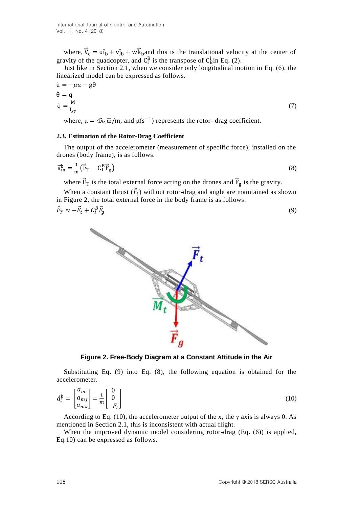where,  $\vec{V}_c = u\vec{I}_b + v\vec{J}_b + w\vec{K}_b$  and this is the translational velocity at the center of gravity of the quadcopter, and  $C_I^B$  is the transpose of  $C_B^I$  in Eq. (2).

Just like in Section 2.1, when we consider only longitudinal motion in Eq. (6), the linearized model can be expressed as follows.

$$
\dot{\mathbf{u}} = -\mu u - \mathbf{g}\theta
$$
\n
$$
\dot{\theta} = \mathbf{q}
$$
\n
$$
\dot{\mathbf{q}} = \frac{\mathbf{M}}{\mathbf{I}_{\mathbf{y}\mathbf{y}}}
$$
\n(7)

where,  $\mu = 4\lambda_1 \overline{\omega}/m$ , and  $\mu(s^{-1})$  represents the rotor- drag coefficient.

#### **2.3. Estimation of the Rotor-Drag Coefficient**

The output of the accelerometer (measurement of specific force), installed on the drones (body frame), is as follows.

$$
\vec{a}_{\rm m}^{\rm b} = \frac{1}{\rm m} \left( \vec{F}_{\rm T} - C_{\rm I}^{\rm B} \vec{F}_{\rm g} \right) \tag{8}
$$

where  $\vec{F}_{T}$  is the total external force acting on the drones and  $\vec{F}_{g}$  is the gravity.

When a constant thrust  $(\vec{F}_t)$  without rotor-drag and angle are maintained as shown in Figure 2, the total external force in the body frame is as follows.

$$
\vec{F}_T \approx -\vec{F}_t + C_I^B \vec{F}_g \tag{9}
$$



**Figure 2. Free-Body Diagram at a Constant Attitude in the Air**

Substituting Eq. (9) into Eq. (8), the following equation is obtained for the accelerometer.

$$
\vec{a}_i^b = \begin{bmatrix} a_{mi} \\ a_{mj} \\ a_{mk} \end{bmatrix} = \frac{1}{m} \begin{bmatrix} 0 \\ 0 \\ -F_t \end{bmatrix}
$$
\n(10)

According to Eq. (10), the accelerometer output of the x, the y axis is always 0. As mentioned in Section 2.1, this is inconsistent with actual flight.

When the improved dynamic model considering rotor-drag (Eq. (6)) is applied, Eq.10) can be expressed as follows.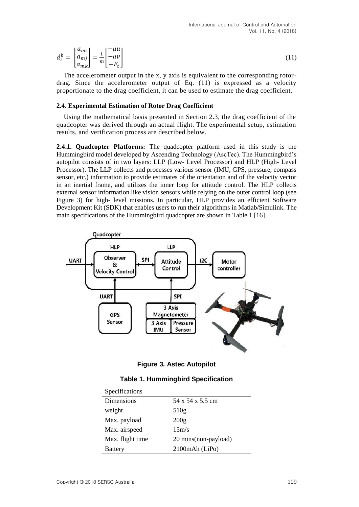$$
\vec{a}_i^b = \begin{bmatrix} a_{mi} \\ a_{mj} \\ a_{mk} \end{bmatrix} = \frac{1}{m} \begin{bmatrix} -\mu u \\ -\mu v \\ -F_t \end{bmatrix}
$$
\n(11)

The accelerometer output in the x, y axis is equivalent to the corresponding rotordrag. Since the accelerometer output of Eq. (11) is expressed as a velocity proportionate to the drag coefficient, it can be used to estimate the drag coefficient.

#### **2.4. Experimental Estimation of Rotor Drag Coefficient**

Using the mathematical basis presented in Section 2.3, the drag coefficient of the quadcopter was derived through an actual flight. The experimental setup, estimation results, and verification process are described below.

**2.4.1. Quadcopter Platforms:** The quadcopter platform used in this study is the Hummingbird model developed by Ascending Technology (AscTec). The Hummingbird's autopilot consists of in two layers: LLP (Low- Level Processor) and HLP (High- Level Processor). The LLP collects and processes various sensor (IMU, GPS, pressure, compass sensor, etc.) information to provide estimates of the orientation and of the velocity vector in an inertial frame, and utilizes the inner loop for attitude control. The HLP collects external sensor information like vision sensors while relying on the outer control loop (see Figure 3) for high- level missions. In particular, HLP provides an efficient Software Development Kit (SDK) that enables users to run their algorithms in Matlab/Simulink. The main specifications of the Hummingbird quadcopter are shown in Table 1 [16].



**Figure 3. Astec Autopilot**

| Specifications   |                       |
|------------------|-----------------------|
| Dimensions       | 54 x 54 x 5.5 cm      |
| weight           | 510g                  |
| Max. payload     | 200 <sub>g</sub>      |
| Max. airspeed    | 15m/s                 |
| Max. flight time | 20 mins (non-payload) |
| <b>Battery</b>   | 2100mAh (LiPo)        |

| Table 1. Hummingbird Specification |  |  |  |  |  |
|------------------------------------|--|--|--|--|--|
|------------------------------------|--|--|--|--|--|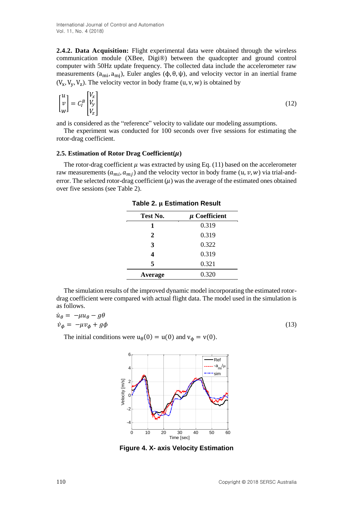**2.4.2. Data Acquisition:** Flight experimental data were obtained through the wireless communication module (XBee, Digi® ) between the quadcopter and ground control computer with 50Hz update frequency. The collected data include the accelerometer raw measurements (a<sub>mi</sub>, a<sub>mj</sub>), Euler angles (φ, θ, ψ), and velocity vector in an inertial frame  $(V_x, V_y, V_z)$ . The velocity vector in body frame  $(u, v, w)$  is obtained by

$$
\begin{bmatrix} u \\ v \\ w \end{bmatrix} = C_l^B \begin{bmatrix} V_x \\ V_y \\ V_z \end{bmatrix} \tag{12}
$$

and is considered as the "reference" velocity to validate our modeling assumptions.

The experiment was conducted for 100 seconds over five sessions for estimating the rotor-drag coefficient.

### 2.5. Estimation of Rotor Drag Coefficient $(\mu)$

The rotor-drag coefficient  $\mu$  was extracted by using Eq. (11) based on the accelerometer raw measurements  $(a_{mi}, a_{mi})$  and the velocity vector in body frame  $(u, v, w)$  via trial-anderror. The selected rotor-drag coefficient  $(\mu)$  was the average of the estimated ones obtained over five sessions (see Table 2).

| $\mu$ Coefficient |  |  |
|-------------------|--|--|
| 0.319             |  |  |
| 0.319             |  |  |
| 0.322             |  |  |
| 0.319             |  |  |
| 0.321             |  |  |
| 0.320             |  |  |
|                   |  |  |

**Table 2. µ Estimation Result** 

The simulation results of the improved dynamic model incorporating the estimated rotordrag coefficient were compared with actual flight data. The model used in the simulation is as follows.

$$
\dot{u}_{\theta} = -\mu u_{\theta} - g\theta
$$
\n
$$
\dot{v}_{\phi} = -\mu v_{\phi} + g\phi
$$
\n(13)

The initial conditions were  $u_{\theta}(0) = u(0)$  and  $v_{\phi} = v(0)$ .



**Figure 4. X- axis Velocity Estimation**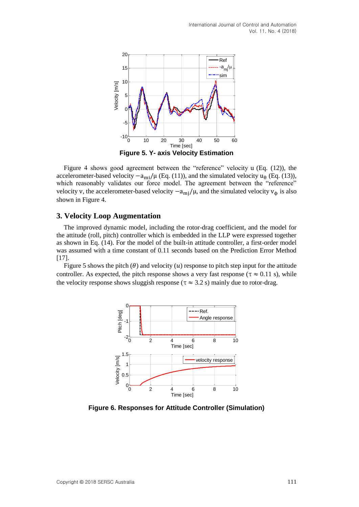

Figure 4 shows good agreement between the "reference" velocity u (Eq. (12)), the accelerometer-based velocity  $-a_{mi}/\mu$  (Eq. (11)), and the simulated velocity  $u_{\theta}$  (Eq. (13)), which reasonably validates our force model. The agreement between the "reference" velocity v, the accelerometer-based velocity  $-a_{mi}/\mu$ , and the simulated velocity  $v_{\phi}$  is also shown in Figure 4.

### **3. Velocity Loop Augmentation**

The improved dynamic model, including the rotor-drag coefficient, and the model for the attitude (roll, pitch) controller which is embedded in the LLP were expressed together as shown in Eq. (14). For the model of the built-in attitude controller, a first-order model was assumed with a time constant of 0.11 seconds based on the Prediction Error Method [17].

Figure 5 shows the pitch ( $\theta$ ) and velocity (*u*) response to pitch step input for the attitude controller. As expected, the pitch response shows a very fast response ( $\tau \approx 0.11$  s), while the velocity response shows sluggish response ( $\tau \approx 3.2$  s) mainly due to rotor-drag.



**Figure 6. Responses for Attitude Controller (Simulation)**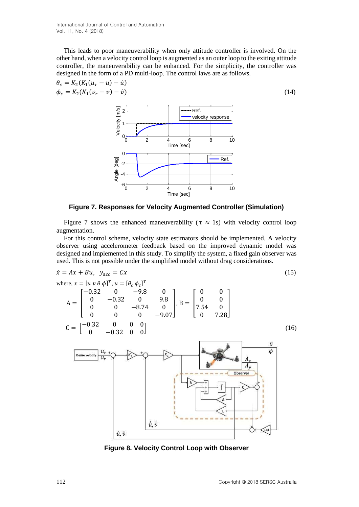International Journal of Control and Automation Vol. 11, No. 4 (2018)

This leads to poor maneuverability when only attitude controller is involved. On the other hand, when a velocity control loop is augmented as an outer loop to the exiting attitude controller, the maneuverability can be enhanced. For the simplicity, the controller was designed in the form of a PD multi-loop. The control laws are as follows.

$$
\theta_c = K_2(K_1(u_r - u) - \dot{u}) \n\phi_c = K_2(K_1(v_r - v) - \dot{v})
$$
\n(14)



**Figure 7. Responses for Velocity Augmented Controller (Simulation)**

Figure 7 shows the enhanced maneuverability ( $\tau \approx 1$ s) with velocity control loop augmentation.

For this control scheme, velocity state estimators should be implemented. A velocity observer using accelerometer feedback based on the improved dynamic model was designed and implemented in this study. To simplify the system, a fixed gain observer was used. This is not possible under the simplified model without drag considerations.

$$
\dot{x} = Ax + Bu, \quad y_{acc} = Cx
$$
\nwhere,  $x = [u v \theta \phi]^T$ ,  $u = [\theta_c \phi_c]^T$   
\n
$$
A = \begin{bmatrix}\n-0.32 & 0 & -9.8 & 0 \\
0 & -0.32 & 0 & 9.8 \\
0 & 0 & -8.74 & 0 \\
0 & 0 & 0 & -9.07\n\end{bmatrix}, B = \begin{bmatrix}\n0 & 0 \\
0 & 0 \\
7.54 & 0 \\
0 & 7.28\n\end{bmatrix}
$$
\n
$$
C = \begin{bmatrix}\n-0.32 & 0 & 0 & 0 \\
0 & -0.32 & 0 & 0 \\
0 & -0.32 & 0 & 0\n\end{bmatrix}
$$
\n(16)\n
$$
\frac{\theta}{\sqrt{\frac{4y}{y}}}
$$
\n
$$
\frac{4y}{4y}
$$
\n
$$
\frac{4y}{4y}
$$
\n
$$
\frac{4y}{4y}
$$
\n
$$
\frac{4y}{4y}
$$
\n
$$
\frac{4y}{4y}
$$
\n
$$
\frac{4y}{4y}
$$
\n
$$
\frac{4y}{4y}
$$
\n
$$
\frac{4y}{4y}
$$
\n
$$
\frac{4y}{4y}
$$
\n
$$
\frac{4y}{4y}
$$
\n
$$
\frac{4y}{4y}
$$
\n
$$
\frac{4y}{4y}
$$
\n
$$
\frac{4y}{4y}
$$
\n
$$
\frac{4y}{4y}
$$
\n
$$
\frac{4y}{4y}
$$
\n
$$
\frac{4y}{4y}
$$
\n
$$
\frac{4y}{4y}
$$
\n
$$
\frac{4y}{4y}
$$
\n
$$
\frac{4y}{4y}
$$
\n
$$
\frac{4y}{4y}
$$
\n
$$
\frac{4y}{4y}
$$
\n
$$
\frac{4y}{4y}
$$
\n
$$
\frac{4y}{4y}
$$
\n
$$
\frac{4y}{4y}
$$
\n
$$
\frac{4y}{4y}
$$
\n
$$
\frac{4y}{4y}
$$
\n
$$
\frac{4y}{4y}
$$
\n
$$
\frac{4y}{4y}
$$
\n $$ 

**Figure 8. Velocity Control Loop with Observer**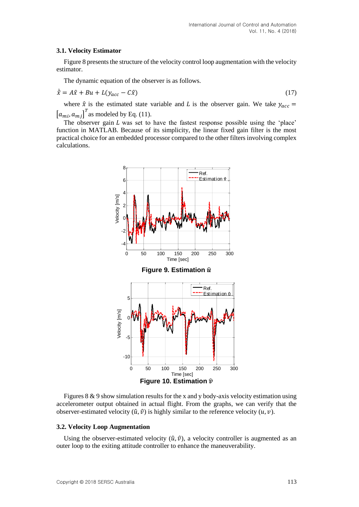### **3.1. Velocity Estimator**

Figure 8 presents the structure of the velocity control loop augmentation with the velocity estimator.

The dynamic equation of the observer is as follows.

$$
\dot{\hat{x}} = A\hat{x} + Bu + L(y_{acc} - C\hat{x})
$$
\n(17)

where  $\hat{x}$  is the estimated state variable and L is the observer gain. We take  $y_{acc}$  =  $[a_{mi}, a_{mj}]^T$  as modeled by Eq. (11).

The observer gain  $L$  was set to have the fastest response possible using the 'place' function in MATLAB. Because of its simplicity, the linear fixed gain filter is the most practical choice for an embedded processor compared to the other filters involving complex calculations.



Figures 8 & 9 show simulation results for the x and y body-axis velocity estimation using accelerometer output obtained in actual flight. From the graphs, we can verify that the observer-estimated velocity  $(\hat{u}, \hat{v})$  is highly similar to the reference velocity  $(u, v)$ .

#### **3.2. Velocity Loop Augmentation**

Using the observer-estimated velocity  $(\hat{u}, \hat{v})$ , a velocity controller is augmented as an outer loop to the exiting attitude controller to enhance the maneuverability.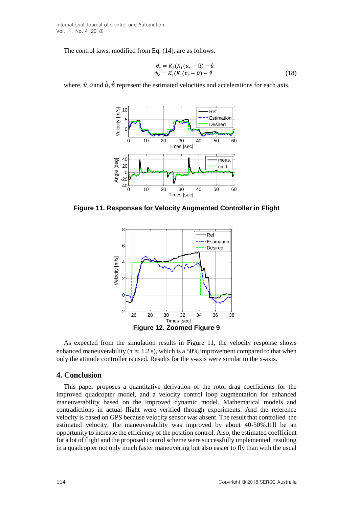International Journal of Control and Automation Vol. 11, No. 4 (2018)

The control laws, modified from Eq. (14), are as follows.

$$
\begin{aligned} \theta_c &= K_2(K_1(u_r - \hat{u}) - \hat{u} \\ \phi_c &= K_2(K_1(v_r - \hat{v}) - \hat{v} \end{aligned} \tag{18}
$$

where,  $\hat{u}$ ,  $\hat{v}$  and  $\dot{\hat{u}}$ ,  $\dot{\hat{v}}$  represent the estimated velocities and accelerations for each axis. ì



**Figure 11. Responses for Velocity Augmented Controller in Flight**



As expected from the simulation results in Figure 11, the velocity response shows enhanced maneuverability ( $\tau \approx 1.2$  s), which is a 50% improvement compared to that when only the attitude controller is used. Results for the y-axis were similar to the x-axis.

### **4. Conclusion**

This paper proposes a quantitative derivation of the rotor-drag coefficients for the improved quadcopter model, and a velocity control loop augmentation for enhanced maneuverability based on the improved dynamic model. Mathematical models and contradictions in actual flight were verified through experiments. And the reference velocity is based on GPS because velocity sensor was absent. The result that controlled the estimated velocity, the maneuverability was improved by about 40-50%.It'll be an opportunity to increase the efficiency of the position control. Also, the estimated coefficient for a lot of flight and the proposed control scheme were successfully implemented, resulting in a quadcopter not only much faster maneuvering but also easier to fly than with the usual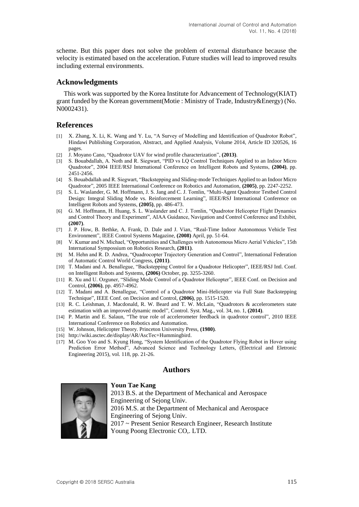scheme. But this paper does not solve the problem of external disturbance because the velocity is estimated based on the acceleration. Future studies will lead to improved results including external environments.

# **Acknowledgments**

This work was supported by the Korea Institute for Advancement of Technology(KIAT) grant funded by the Korean government(Motie : Ministry of Trade, Industry&Energy) (No. N0002431).

### **References**

- [1] X. Zhang, X. Li, K. Wang and Y. Lu, "A Survey of Modelling and Identification of Quadrotor Robot", Hindawi Publishing Corporation, Abstract, and Applied Analysis, Volume 2014, Article ID 320526, 16 pages.
- [2] J. Moyano Cano, "Quadrotor UAV for wind profile characterization", **(2013)**.
- [3] S. Bouabdallah, A. Noth and R. Siegwart, "PID vs LQ Control Techniques Applied to an Indoor Micro Quadrotor", 2004 IEEE/RSJ International Conference on Intelligent Robots and Systems, **(2004)**, pp. 2451-2456.
- [4] S. Bouabdallah and R. Siegwart, "Backstepping and Sliding-mode Techniques Applied to an Indoor Micro Quadrotor", 2005 IEEE International Conference on Robotics and Automation, **(2005)**, pp. 2247-2252.
- [5] S. L. Waslander, G. M. Hoffmann, J. S. Jang and C. J. Tomlin, "Multi-Agent Quadrotor Testbed Control Design: Integral Sliding Mode vs. Reinforcement Learning", IEEE/RSJ International Conference on Intelligent Robots and Systems, **(2005)**, pp. 486-473.
- [6] G. M. Hoffmann, H. Huang, S. L. Waslander and C. J. Tomlin, "Quadrotor Helicopter Flight Dynamics and Control Theory and Experiment", AIAA Guidance, Navigation and Control Conference and Exhibit, **(2007)**.
- [7] J. P. How, B. Bethke, A. Frank, D. Dale and J. Vian, "Real-Time Indoor Autonomous Vehicle Test Environment", IEEE Control Systems Magazine, **(2008)** April, pp. 51-64.
- [8] V. Kumar and N. Michael, "Opportunities and Challenges with Autonomous Micro Aerial Vehicles", 15th International Sympossium on Robotics Research, **(2011)**.
- [9] M. Hehn and R. D. Andrea, "Quadrocopter Trajectory Generation and Control", International Federation of Automatic Control World Congress, **(2011)**.
- [10] T. Madani and A. Benallegue, "Backstepping Control for a Quadrotor Helicopter", IEEE/RSJ Intl. Conf. on Intelligent Robots and Systems, **(2006)** October, pp. 3255-3260.
- [11] R. Xu and U. Ozguner, "Sliding Mode Control of a Quadrotor Helicopter", IEEE Conf. on Decision and Control, **(2006)**, pp. 4957-4962.
- [12] T. Madani and A. Benallegue, "Control of a Quadrotor Mini-Helicopter via Full State Backstepping Technique", IEEE Conf. on Decision and Control, **(2006)**, pp. 1515-1520.
- [13] R. C. Leishman, J. Macdonald, R. W. Beard and T. W. McLain, "Quadrotors & accelerometers state estimation with an improved dynamic model", Control. Syst. Mag., vol. 34, no. 1, **(2014)**.
- [14] P. Martin and E. Salaun, "The true role of accelerometer feedback in quadrotor control", 2010 IEEE International Conference on Robotics and Automation.
- [15] W. Johnson, Helicopter Theory. Princeton University Press, **(1980)**.

**Youn Tae Kang**

- [16] [http://wiki.asctec.de/display/AR/AscTec+Hummingbird.](http://wiki.asctec.de/display/AR/AscTec+Hummingbird)
- [17] M. Goo Yoo and S. Kyung Hong, "System Identification of the Quadrotor Flying Robot in Hover using Prediction Error Method", Advanced Science and Technology Letters, (Electrical and Eletronic Engineering 2015), vol. 118, pp. 21-26.

# **Authors**



2013 B.S. at the Department of Mechanical and Aerospace Engineering of Sejong Univ. 2016 M.S. at the Department of Mechanical and Aerospace Engineering of Sejong Univ. 2017 ~ Present Senior Research Engineer, Research Institute Young Poong Electronic CO,. LTD.